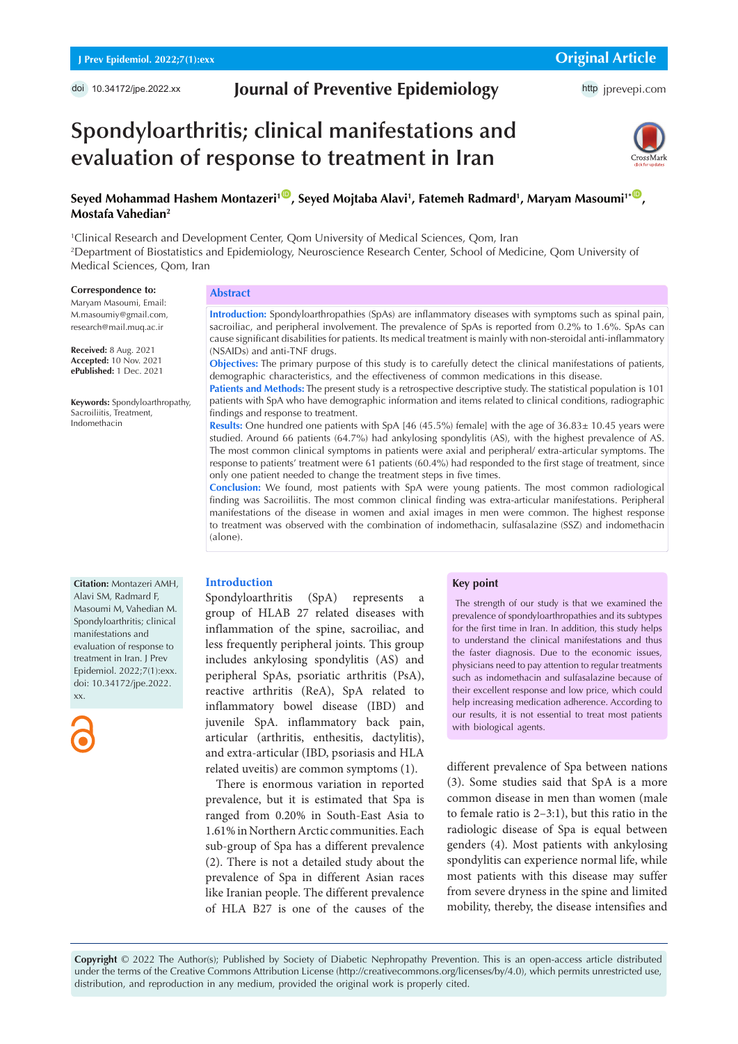# **Journal of Preventive Epidemiology**

http [jprevepi.com](http://jprevepi.com)

# **Spondyloarthritis; clinical manifestations and evaluation of response to treatment in Iran**



### $S$ eyed Mohammad Hashem Montazeri<sup>1©</sup>, Seyed Mojtaba Alavi<sup>1</sup>, Fatemeh Radmard<sup>1</sup>, Maryam Masoumi<sup>1\*©</sup>, **Mostafa Vahedian2**

1 Clinical Research and Development Center, Qom University of Medical Sciences, Qom, Iran 2 Department of Biostatistics and Epidemiology, Neuroscience Research Center, School of Medicine, Qom University of Medical Sciences, Qom, Iran

#### **Correspondence to:**

Maryam Masoumi, Email: M.masoumiy@gmail.com, research@mail.muq.ac.ir

**Received:** 8 Aug. 2021 **Accepted:** 10 Nov. 2021 **ePublished:** 1 Dec. 2021

**Keywords:** Spondyloarthropathy, Sacroiliitis, Treatment, Indomethacin

# **Abstract**

**Introduction:** Spondyloarthropathies (SpAs) are inflammatory diseases with symptoms such as spinal pain, sacroiliac, and peripheral involvement. The prevalence of SpAs is reported from 0.2% to 1.6%. SpAs can cause significant disabilities for patients. Its medical treatment is mainly with non-steroidal anti-inflammatory (NSAIDs) and anti-TNF drugs.

**Objectives:** The primary purpose of this study is to carefully detect the clinical manifestations of patients, demographic characteristics, and the effectiveness of common medications in this disease.

**Patients and Methods:** The present study is a retrospective descriptive study. The statistical population is 101 patients with SpA who have demographic information and items related to clinical conditions, radiographic findings and response to treatment.

**Results:** One hundred one patients with SpA [46 (45.5%) female] with the age of 36.83± 10.45 years were studied. Around 66 patients (64.7%) had ankylosing spondylitis (AS), with the highest prevalence of AS. The most common clinical symptoms in patients were axial and peripheral/ extra-articular symptoms. The response to patients' treatment were 61 patients (60.4%) had responded to the first stage of treatment, since only one patient needed to change the treatment steps in five times.

**Conclusion:** We found, most patients with SpA were young patients. The most common radiological finding was Sacroiliitis. The most common clinical finding was extra-articular manifestations. Peripheral manifestations of the disease in women and axial images in men were common. The highest response to treatment was observed with the combination of indomethacin, sulfasalazine (SSZ) and indomethacin (alone).

**Citation:** Montazeri AMH, Alavi SM, Radmard F, Masoumi M, Vahedian M. Spondyloarthritis; clinical manifestations and evaluation of response to treatment in Iran. J Prev Epidemiol. 2022;7(1):exx. doi: 10.34172/jpe.2022. xx.



#### **Introduction**

Spondyloarthritis (SpA) represents a group of HLAB 27 related diseases with inflammation of the spine, sacroiliac, and less frequently peripheral joints. This group includes ankylosing spondylitis (AS) and peripheral SpAs, psoriatic arthritis (PsA), reactive arthritis (ReA), SpA related to inflammatory bowel disease (IBD) and juvenile SpA. inflammatory back pain, articular (arthritis, enthesitis, dactylitis), and extra-articular (IBD, psoriasis and HLA related uveitis) are common symptoms (1).

There is enormous variation in reported prevalence, but it is estimated that Spa is ranged from 0.20% in South-East Asia to 1.61% in Northern Arctic communities. Each sub-group of Spa has a different prevalence (2). There is not a detailed study about the prevalence of Spa in different Asian races like Iranian people. The different prevalence of HLA B27 is one of the causes of the

#### **Key point**

 The strength of our study is that we examined the prevalence of spondyloarthropathies and its subtypes for the first time in Iran. In addition, this study helps to understand the clinical manifestations and thus the faster diagnosis. Due to the economic issues, physicians need to pay attention to regular treatments such as indomethacin and sulfasalazine because of their excellent response and low price, which could help increasing medication adherence. According to our results, it is not essential to treat most patients with biological agents.

different prevalence of Spa between nations (3). Some studies said that SpA is a more common disease in men than women (male to female ratio is 2–3:1), but this ratio in the radiologic disease of Spa is equal between genders (4). Most patients with ankylosing spondylitis can experience normal life, while most patients with this disease may suffer from severe dryness in the spine and limited mobility, thereby, the disease intensifies and

**Copyright** © 2022 The Author(s); Published by Society of Diabetic Nephropathy Prevention. This is an open-access article distributed under the terms of the Creative Commons Attribution License (http://creativecommons.org/licenses/by/4.0), which permits unrestricted use, distribution, and reproduction in any medium, provided the original work is properly cited.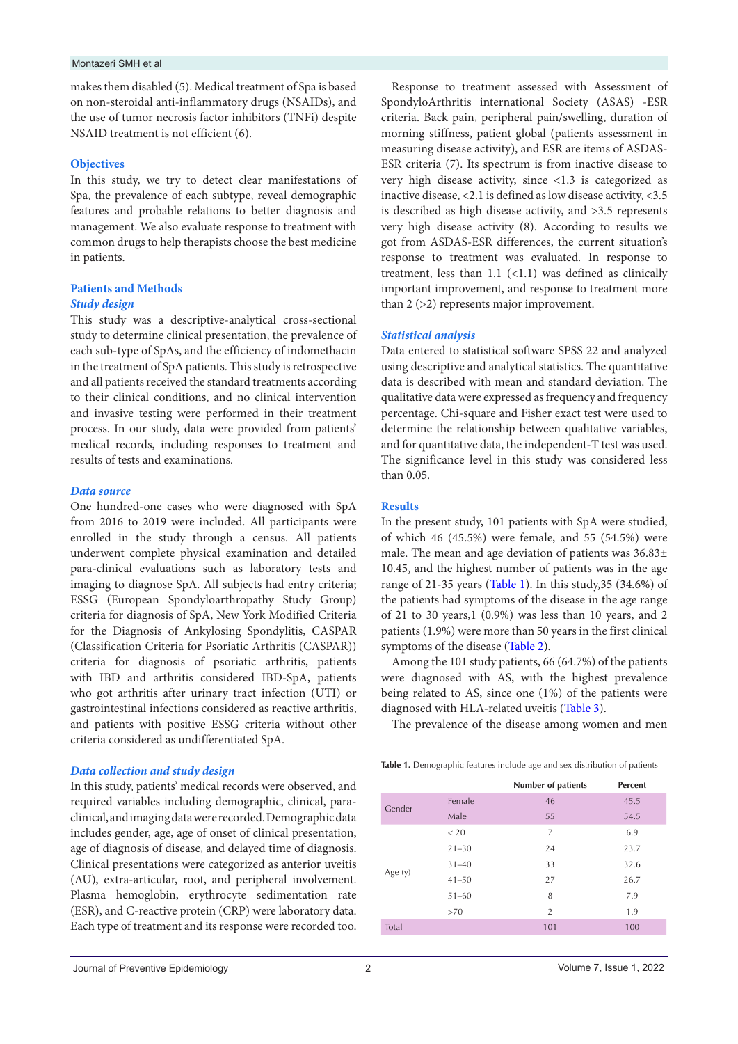#### Montazeri SMH et al

makes them disabled (5). Medical treatment of Spa is based on non-steroidal anti-inflammatory drugs (NSAIDs), and the use of tumor necrosis factor inhibitors (TNFi) despite NSAID treatment is not efficient (6).

#### **Objectives**

In this study, we try to detect clear manifestations of Spa, the prevalence of each subtype, reveal demographic features and probable relations to better diagnosis and management. We also evaluate response to treatment with common drugs to help therapists choose the best medicine in patients.

#### **Patients and Methods**

#### *Study design*

This study was a descriptive-analytical cross-sectional study to determine clinical presentation, the prevalence of each sub-type of SpAs, and the efficiency of indomethacin in the treatment of SpA patients. This study is retrospective and all patients received the standard treatments according to their clinical conditions, and no clinical intervention and invasive testing were performed in their treatment process. In our study, data were provided from patients' medical records, including responses to treatment and results of tests and examinations.

#### *Data source*

One hundred-one cases who were diagnosed with SpA from 2016 to 2019 were included. All participants were enrolled in the study through a census. All patients underwent complete physical examination and detailed para-clinical evaluations such as laboratory tests and imaging to diagnose SpA. All subjects had entry criteria; ESSG (European Spondyloarthropathy Study Group) criteria for diagnosis of SpA, New York Modified Criteria for the Diagnosis of Ankylosing Spondylitis, CASPAR (Classification Criteria for Psoriatic Arthritis (CASPAR)) criteria for diagnosis of psoriatic arthritis, patients with IBD and arthritis considered IBD-SpA, patients who got arthritis after urinary tract infection (UTI) or gastrointestinal infections considered as reactive arthritis, and patients with positive ESSG criteria without other criteria considered as undifferentiated SpA.

#### *Data collection and study design*

In this study, patients' medical records were observed, and required variables including demographic, clinical, paraclinical, and imaging data were recorded. Demographic data includes gender, age, age of onset of clinical presentation, age of diagnosis of disease, and delayed time of diagnosis. Clinical presentations were categorized as anterior uveitis (AU), extra-articular, root, and peripheral involvement. Plasma hemoglobin, erythrocyte sedimentation rate (ESR), and C-reactive protein (CRP) were laboratory data. Each type of treatment and its response were recorded too.

Response to treatment assessed with Assessment of SpondyloArthritis international Society (ASAS) -ESR criteria. Back pain, peripheral pain/swelling, duration of morning stiffness, patient global (patients assessment in measuring disease activity), and ESR are items of ASDAS-ESR criteria (7). Its spectrum is from inactive disease to very high disease activity, since <1.3 is categorized as inactive disease, <2.1 is defined as low disease activity, <3.5 is described as high disease activity, and >3.5 represents very high disease activity (8). According to results we got from ASDAS-ESR differences, the current situation's response to treatment was evaluated. In response to treatment, less than  $1.1$  (<1.1) was defined as clinically important improvement, and response to treatment more than 2 (>2) represents major improvement.

#### *Statistical analysis*

Data entered to statistical software SPSS 22 and analyzed using descriptive and analytical statistics. The quantitative data is described with mean and standard deviation. The qualitative data were expressed as frequency and frequency percentage. Chi-square and Fisher exact test were used to determine the relationship between qualitative variables, and for quantitative data, the independent-T test was used. The significance level in this study was considered less than 0.05.

#### **Results**

In the present study, 101 patients with SpA were studied, of which 46 (45.5%) were female, and 55 (54.5%) were male. The mean and age deviation of patients was 36.83± 10.45, and the highest number of patients was in the age range of 21-35 years [\(Table 1\)](#page-1-0). In this study,35 (34.6%) of the patients had symptoms of the disease in the age range of 21 to 30 years,1 (0.9%) was less than 10 years, and 2 patients (1.9%) were more than 50 years in the first clinical symptoms of the disease [\(Table 2\)](#page-2-0).

Among the 101 study patients, 66 (64.7%) of the patients were diagnosed with AS, with the highest prevalence being related to AS, since one (1%) of the patients were diagnosed with HLA-related uveitis [\(Table 3\)](#page-2-1).

The prevalence of the disease among women and men

<span id="page-1-0"></span>

| Table 1. Demographic features include age and sex distribution of patients |  |  |  |
|----------------------------------------------------------------------------|--|--|--|
|                                                                            |  |  |  |

|           |           | <b>Number of patients</b> | Percent |
|-----------|-----------|---------------------------|---------|
| Gender    | Female    | 46                        | 45.5    |
|           | Male      | 55                        | 54.5    |
|           | < 20      | $\overline{7}$            | 6.9     |
|           | $21 - 30$ | 24                        | 23.7    |
|           | $31 - 40$ | 33                        | 32.6    |
| Age $(y)$ | $41 - 50$ | 27                        | 26.7    |
|           | $51 - 60$ | 8                         | 7.9     |
|           | >70       | $\overline{2}$            | 1.9     |
| Total     |           | 101                       | 100     |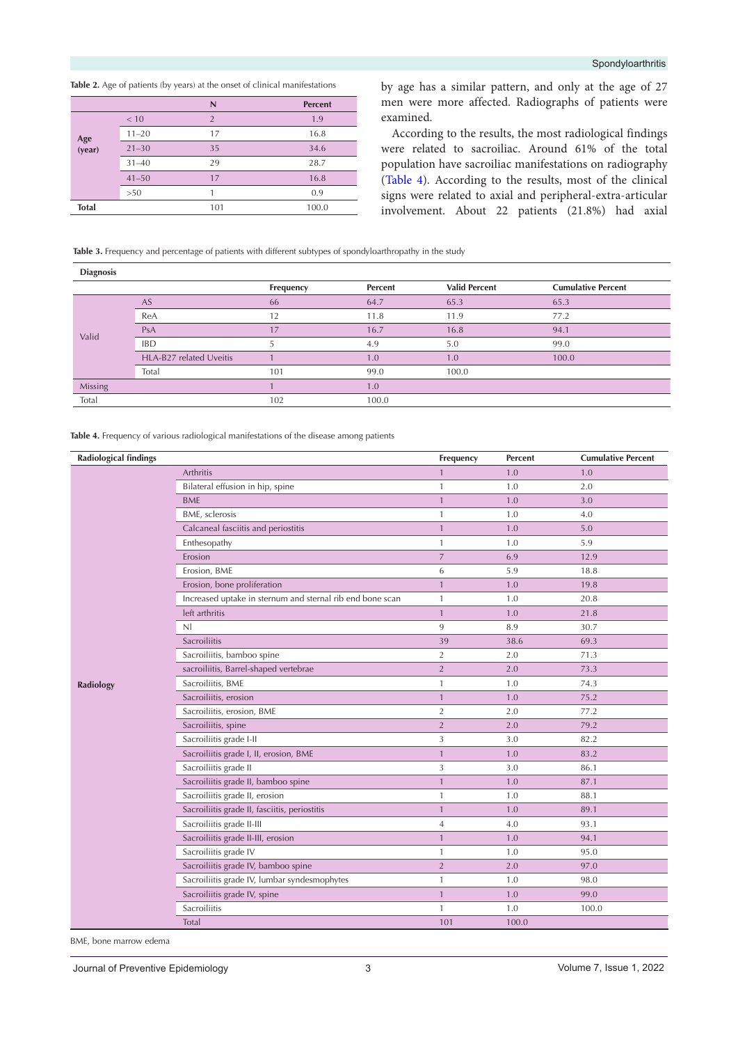<span id="page-2-0"></span>**Table 2.** Age of patients (by years) at the onset of clinical manifestations

|               |           | N              | <b>Percent</b> |
|---------------|-----------|----------------|----------------|
|               | < 10      | $\overline{2}$ | 1.9            |
|               | $11 - 20$ | 17             | 16.8           |
| Age<br>(year) | $21 - 30$ | 35             | 34.6           |
|               | $31 - 40$ | 29             | 28.7           |
|               | $41 - 50$ | 17             | 16.8           |
|               | >50       |                | 0.9            |
| <b>Total</b>  |           | 101            | 100.0          |
|               |           |                |                |

by age has a similar pattern, and only at the age of 27 men were more affected. Radiographs of patients were examined.

According to the results, the most radiological findings were related to sacroiliac. Around 61% of the total population have sacroiliac manifestations on radiography [\(Table 4](#page-2-2)). According to the results, most of the clinical signs were related to axial and peripheral-extra-articular involvement. About 22 patients (21.8%) had axial

<span id="page-2-1"></span>Table 3. Frequency and percentage of patients with different subtypes of spondyloarthropathy in the study

| <b>Diagnosis</b> |                         |           |         |                      |                           |
|------------------|-------------------------|-----------|---------|----------------------|---------------------------|
|                  |                         | Frequency | Percent | <b>Valid Percent</b> | <b>Cumulative Percent</b> |
|                  | <b>AS</b>               | 66        | 64.7    | 65.3                 | 65.3                      |
|                  | ReA                     | 12        | 11.8    | 11.9                 | 77.2                      |
| Valid            | PsA                     | 17        | 16.7    | 16.8                 | 94.1                      |
|                  | <b>IBD</b>              |           | 4.9     | 5.0                  | 99.0                      |
|                  | HLA-B27 related Uveitis |           | 1.0     | 1.0                  | 100.0                     |
|                  | Total                   | 101       | 99.0    | 100.0                |                           |
| Missing          |                         |           | 1.0     |                      |                           |
| Total            |                         | 102       | 100.0   |                      |                           |
|                  |                         |           |         |                      |                           |

<span id="page-2-2"></span>**Table 4.** Frequency of various radiological manifestations of the disease among patients

| <b>Radiological findings</b> |                                                           | Frequency      | Percent | <b>Cumulative Percent</b> |
|------------------------------|-----------------------------------------------------------|----------------|---------|---------------------------|
|                              | Arthritis                                                 | 1              | 1.0     | 1.0                       |
|                              | Bilateral effusion in hip, spine                          | $\mathbf{1}$   | 1.0     | 2.0                       |
|                              | <b>BME</b>                                                | $\mathbf{1}$   | 1.0     | 3.0                       |
|                              | BME, sclerosis                                            | $\mathbf{1}$   | 1.0     | 4.0                       |
|                              | Calcaneal fasciitis and periostitis                       | $\mathbf{1}$   | 1.0     | 5.0                       |
|                              | Enthesopathy                                              | $\mathbf{1}$   | 1.0     | 5.9                       |
|                              | Erosion                                                   | $\overline{7}$ | 6.9     | 12.9                      |
|                              | Erosion, BME                                              | 6              | 5.9     | 18.8                      |
|                              | Erosion, bone proliferation                               | $\mathbf{1}$   | 1.0     | 19.8                      |
|                              | Increased uptake in sternum and sternal rib end bone scan | $\mathbf{1}$   | 1.0     | 20.8                      |
|                              | left arthritis                                            | $\mathbf{1}$   | 1.0     | 21.8                      |
|                              | N <sub>1</sub>                                            | 9              | 8.9     | 30.7                      |
|                              | Sacroiliitis                                              | 39             | 38.6    | 69.3                      |
|                              | Sacroiliitis, bamboo spine                                | $\overline{2}$ | 2.0     | 71.3                      |
|                              | sacroiliitis, Barrel-shaped vertebrae                     | $\sqrt{2}$     | 2.0     | 73.3                      |
| Radiology                    | Sacroiliitis, BME                                         | $\mathbf{1}$   | 1.0     | 74.3                      |
|                              | Sacroiliitis, erosion                                     | $\mathbf{1}$   | 1.0     | 75.2                      |
|                              | Sacroiliitis, erosion, BME                                | $\overline{2}$ | 2.0     | 77.2                      |
|                              | Sacroiliitis, spine                                       | $\overline{2}$ | 2.0     | 79.2                      |
|                              | Sacroiliitis grade I-II                                   | 3              | 3.0     | 82.2                      |
|                              | Sacroiliitis grade I, II, erosion, BME                    | $\mathbf{1}$   | 1.0     | 83.2                      |
|                              | Sacroiliitis grade II                                     | 3              | 3.0     | 86.1                      |
|                              | Sacroiliitis grade II, bamboo spine                       | $\mathbf{1}$   | 1.0     | 87.1                      |
|                              | Sacroiliitis grade II, erosion                            | $\mathbf{1}$   | 1.0     | 88.1                      |
|                              | Sacroiliitis grade II, fasciitis, periostitis             | $\mathbf{1}$   | 1.0     | 89.1                      |
|                              | Sacroiliitis grade II-III                                 | $\overline{4}$ | 4.0     | 93.1                      |
|                              | Sacroiliitis grade II-III, erosion                        | $\mathbf{1}$   | 1.0     | 94.1                      |
|                              | Sacroiliitis grade IV                                     | $\mathbf{1}$   | 1.0     | 95.0                      |
|                              | Sacroiliitis grade IV, bamboo spine                       | $\overline{2}$ | 2.0     | 97.0                      |
|                              | Sacroiliitis grade IV, lumbar syndesmophytes              | $\mathbf{1}$   | 1.0     | 98.0                      |
|                              | Sacroiliitis grade IV, spine                              | $\mathbf{1}$   | 1.0     | 99.0                      |
|                              | Sacroiliitis                                              | $\mathbf{1}$   | 1.0     | 100.0                     |
|                              | Total                                                     | 101            | 100.0   |                           |

BME, bone marrow edema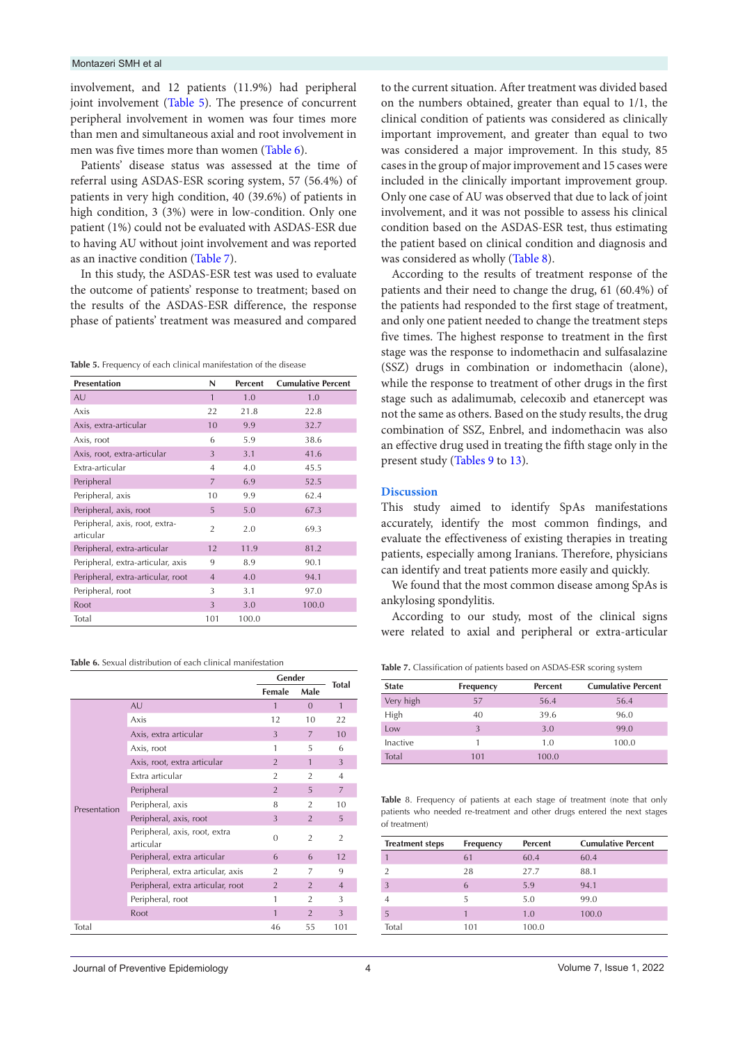involvement, and 12 patients (11.9%) had peripheral joint involvement [\(Table 5](#page-3-0)). The presence of concurrent peripheral involvement in women was four times more than men and simultaneous axial and root involvement in men was five times more than women ([Table 6](#page-3-1)).

Patients' disease status was assessed at the time of referral using ASDAS-ESR scoring system, 57 (56.4%) of patients in very high condition, 40 (39.6%) of patients in high condition, 3 (3%) were in low-condition. Only one patient (1%) could not be evaluated with ASDAS-ESR due to having AU without joint involvement and was reported as an inactive condition [\(Table 7](#page-3-2)).

In this study, the ASDAS-ESR test was used to evaluate the outcome of patients' response to treatment; based on the results of the ASDAS-ESR difference, the response phase of patients' treatment was measured and compared

<span id="page-3-0"></span>**Table 5.** Frequency of each clinical manifestation of the disease

| <b>Presentation</b>                         | N              | <b>Percent</b> | <b>Cumulative Percent</b> |
|---------------------------------------------|----------------|----------------|---------------------------|
| <b>AU</b>                                   | 1              | 1.0            | 1.0                       |
| Axis                                        | 22             | 21.8           | 22.8                      |
| Axis, extra-articular                       | 10             | 9.9            | 32.7                      |
| Axis, root                                  | 6              | 5.9            | 38.6                      |
| Axis, root, extra-articular                 | 3              | 3.1            | 41.6                      |
| Extra-articular                             | $\overline{4}$ | 4.0            | 45.5                      |
| Peripheral                                  | $\overline{7}$ | 6.9            | 52.5                      |
| Peripheral, axis                            | 10             | 9.9            | 62.4                      |
| Peripheral, axis, root                      | 5              | 5.0            | 67.3                      |
| Peripheral, axis, root, extra-<br>articular | $\overline{2}$ | 2.0            | 69.3                      |
| Peripheral, extra-articular                 | 12             | 11.9           | 81.2                      |
| Peripheral, extra-articular, axis           | 9              | 8.9            | 90.1                      |
| Peripheral, extra-articular, root           | $\overline{4}$ | 4.0            | 94.1                      |
| Peripheral, root                            | 3              | 3.1            | 97.0                      |
| Root                                        | 3              | 3.0            | 100.0                     |
| Total                                       | 101            | 100.0          |                           |

<span id="page-3-1"></span>**Table 6.** Sexual distribution of each clinical manifestation

|              |                                            | Gender<br>Female<br>Male |                | <b>Total</b>   |
|--------------|--------------------------------------------|--------------------------|----------------|----------------|
|              |                                            |                          |                |                |
|              | <b>AU</b>                                  | 1                        | $\Omega$       | $\mathbf{1}$   |
|              | Axis                                       | 12                       | 10             | 22             |
|              | Axis, extra articular                      | 3                        | 7              | 10             |
|              | Axis, root                                 | 1                        | 5              | 6              |
|              | Axis, root, extra articular                | $\overline{2}$           | $\mathbf{1}$   | 3              |
|              | Extra articular                            | $\overline{2}$           | $\mathfrak{D}$ | $\overline{4}$ |
|              | Peripheral                                 | $\overline{2}$           | 5              | 7              |
| Presentation | Peripheral, axis                           | 8                        | $\overline{2}$ | 10             |
|              | Peripheral, axis, root                     | 3                        | $\overline{2}$ | 5              |
|              | Peripheral, axis, root, extra<br>articular | $\Omega$                 | $\overline{2}$ | $\overline{2}$ |
|              | Peripheral, extra articular                | 6                        | 6              | 12             |
|              | Peripheral, extra articular, axis          | $\overline{2}$           | 7              | 9              |
|              | Peripheral, extra articular, root          | $\overline{2}$           | $\overline{2}$ | $\overline{4}$ |
|              | Peripheral, root                           | 1                        | $\overline{2}$ | 3              |
|              | Root                                       | $\mathbf{1}$             | $\overline{2}$ | 3              |
| Total        |                                            | 46                       | 55             | 101            |

to the current situation. After treatment was divided based on the numbers obtained, greater than equal to 1/1, the clinical condition of patients was considered as clinically important improvement, and greater than equal to two was considered a major improvement. In this study, 85 cases in the group of major improvement and 15 cases were included in the clinically important improvement group. Only one case of AU was observed that due to lack of joint involvement, and it was not possible to assess his clinical condition based on the ASDAS-ESR test, thus estimating the patient based on clinical condition and diagnosis and was considered as wholly ([Table 8\)](#page-3-2).

According to the results of treatment response of the patients and their need to change the drug, 61 (60.4%) of the patients had responded to the first stage of treatment, and only one patient needed to change the treatment steps five times. The highest response to treatment in the first stage was the response to indomethacin and sulfasalazine (SSZ) drugs in combination or indomethacin (alone), while the response to treatment of other drugs in the first stage such as adalimumab, celecoxib and etanercept was not the same as others. Based on the study results, the drug combination of SSZ, Enbrel, and indomethacin was also an effective drug used in treating the fifth stage only in the present study ([Tables 9](#page-4-0) to [13\)](#page-4-1).

#### **Discussion**

This study aimed to identify SpAs manifestations accurately, identify the most common findings, and evaluate the effectiveness of existing therapies in treating patients, especially among Iranians. Therefore, physicians can identify and treat patients more easily and quickly.

We found that the most common disease among SpAs is ankylosing spondylitis.

According to our study, most of the clinical signs were related to axial and peripheral or extra-articular

**Table 7.** Classification of patients based on ASDAS-ESR scoring system

| <b>State</b> | Frequency | <b>Percent</b> | <b>Cumulative Percent</b> |
|--------------|-----------|----------------|---------------------------|
| Very high    | 57        | 56.4           | 56.4                      |
| High         | 40        | 39.6           | 96.0                      |
| Low          | 3         | 3.0            | 99.0                      |
| Inactive     |           | 1.0            | 100.0                     |
| Total        | 101       | 100.0          |                           |

<span id="page-3-2"></span>Table 8. Frequency of patients at each stage of treatment (note that only patients who needed re-treatment and other drugs entered the next stages of treatment)

| <b>Treatment steps</b> | Frequency | <b>Percent</b> | <b>Cumulative Percent</b> |
|------------------------|-----------|----------------|---------------------------|
|                        | 61        | 60.4           | 60.4                      |
| $\mathfrak{D}$         | 28        | 27.7           | 88.1                      |
| 3                      | 6         | 5.9            | 94.1                      |
|                        | 5         | 5.0            | 99.0                      |
| 5                      |           | 1.0            | 100.0                     |
| Total                  | 101       | 100.0          |                           |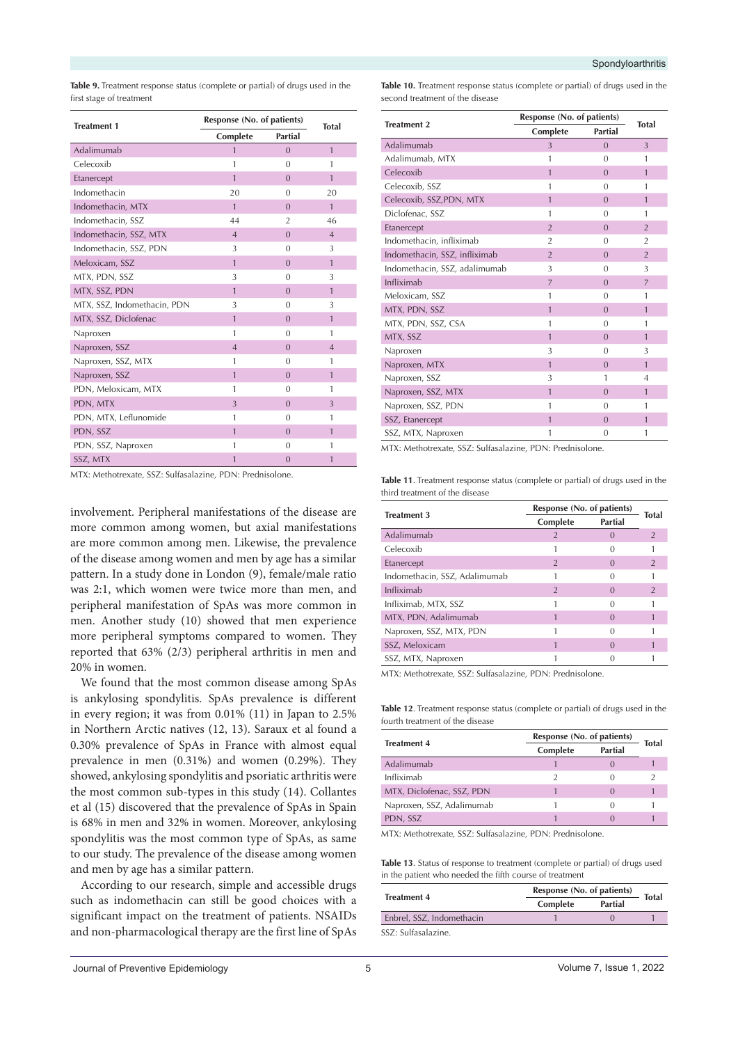<span id="page-4-0"></span>**Table 9.** Treatment response status (complete or partial) of drugs used in the first stage of treatment

| <b>Treatment 1</b>          |                         | Response (No. of patients) |                |  |
|-----------------------------|-------------------------|----------------------------|----------------|--|
|                             | Complete                | <b>Partial</b>             | <b>Total</b>   |  |
| Adalimumab                  | 1                       | $\overline{0}$             | $\mathbf{1}$   |  |
| Celecoxib                   | $\mathbf{1}$            | $\Omega$                   | 1              |  |
| Etanercept                  | $\mathbf{1}$            | $\Omega$                   | $\mathbf{1}$   |  |
| Indomethacin                | 20                      | $\Omega$                   | 20             |  |
| Indomethacin, MTX           | $\mathbf{1}$            | $\Omega$                   | $\mathbf{1}$   |  |
| Indomethacin, SSZ           | 44                      | $\overline{2}$             | 46             |  |
| Indomethacin, SSZ, MTX      | $\overline{4}$          | $\overline{0}$             | $\overline{4}$ |  |
| Indomethacin, SSZ, PDN      | 3                       | $\Omega$                   | 3              |  |
| Meloxicam, SSZ              | $\overline{1}$          | $\overline{0}$             | $\mathbf{1}$   |  |
| MTX, PDN, SSZ               | 3                       | $\Omega$                   | 3              |  |
| MTX, SSZ, PDN               | $\mathbf{1}$            | $\Omega$                   | $\mathbf{1}$   |  |
| MTX, SSZ, Indomethacin, PDN | 3                       | $\Omega$                   | 3              |  |
| MTX, SSZ, Diclofenac        | $\mathbf{1}$            | $\Omega$                   | $\mathbf{1}$   |  |
| Naproxen                    | $\mathbf{1}$            | $\Omega$                   | $\mathbf{1}$   |  |
| Naproxen, SSZ               | $\overline{4}$          | $\Omega$                   | $\overline{4}$ |  |
| Naproxen, SSZ, MTX          | $\mathbf{1}$            | $\Omega$                   | $\mathbf{1}$   |  |
| Naproxen, SSZ               | $\mathbf{1}$            | $\Omega$                   | $\mathbf{1}$   |  |
| PDN, Meloxicam, MTX         | 1                       | $\Omega$                   | 1              |  |
| PDN, MTX                    | $\overline{\mathbf{3}}$ | $\overline{0}$             | 3              |  |
| PDN, MTX, Leflunomide       | $\mathbf{1}$            | $\Omega$                   | $\mathbf{1}$   |  |
| PDN, SSZ                    | $\mathbf{1}$            | $\overline{0}$             | $\mathbf{1}$   |  |
| PDN, SSZ, Naproxen          | 1                       | $\Omega$                   | 1              |  |
| SSZ, MTX                    | $\mathbf{1}$            | $\overline{0}$             | 1              |  |

involvement. Peripheral manifestations of the disease are more common among women, but axial manifestations are more common among men. Likewise, the prevalence of the disease among women and men by age has a similar pattern. In a study done in London (9), female/male ratio was 2:1, which women were twice more than men, and peripheral manifestation of SpAs was more common in men. Another study (10) showed that men experience more peripheral symptoms compared to women. They reported that 63% (2/3) peripheral arthritis in men and 20% in women.

We found that the most common disease among SpAs is ankylosing spondylitis. SpAs prevalence is different in every region; it was from 0.01% (11) in Japan to 2.5% in Northern Arctic natives (12, 13). Saraux et al found a 0.30% prevalence of SpAs in France with almost equal prevalence in men (0.31%) and women (0.29%). They showed, ankylosing spondylitis and psoriatic arthritis were the most common sub-types in this study (14). Collantes et al (15) discovered that the prevalence of SpAs in Spain is 68% in men and 32% in women. Moreover, ankylosing spondylitis was the most common type of SpAs, as same to our study. The prevalence of the disease among women and men by age has a similar pattern.

According to our research, simple and accessible drugs such as indomethacin can still be good choices with a significant impact on the treatment of patients. NSAIDs and non-pharmacological therapy are the first line of SpAs **Table 10.** Treatment response status (complete or partial) of drugs used in the second treatment of the disease

| <b>Treatment 2</b>            | Response (No. of patients) | <b>Total</b>   |                |
|-------------------------------|----------------------------|----------------|----------------|
|                               | Complete                   | Partial        |                |
| Adalimumab                    | 3                          | $\Omega$       | $\overline{3}$ |
| Adalimumab, MTX               | 1                          | $\Omega$       | 1              |
| Celecoxib                     | 1                          | $\overline{0}$ | $\mathbf{1}$   |
| Celecoxib, SSZ                | 1                          | $\Omega$       | 1              |
| Celecoxib, SSZ, PDN, MTX      | 1                          | $\Omega$       | $\mathbf{1}$   |
| Diclofenac, SSZ               | 1                          | $\Omega$       | 1              |
| Etanercept                    | $\overline{2}$             | $\overline{0}$ | $\overline{2}$ |
| Indomethacin, infliximab      | $\overline{2}$             | $\Omega$       | $\overline{2}$ |
| Indomethacin, SSZ, infliximab | $\overline{2}$             | $\Omega$       | $\overline{2}$ |
| Indomethacin, SSZ, adalimumab | 3                          | $\Omega$       | 3              |
| Infliximab                    | $\overline{7}$             | $\overline{0}$ | $\overline{7}$ |
| Meloxicam, SSZ                | 1                          | $\Omega$       | 1              |
| MTX, PDN, SSZ                 | 1                          | $\Omega$       | $\mathbf{1}$   |
| MTX, PDN, SSZ, CSA            | 1                          | $\Omega$       | 1              |
| MTX, SSZ                      | $\mathbf{1}$               | $\Omega$       | $\mathbf{1}$   |
| Naproxen                      | 3                          | $\Omega$       | 3              |
| Naproxen, MTX                 | 1                          | $\Omega$       | $\mathbf{1}$   |
| Naproxen, SSZ                 | 3                          | 1              | 4              |
| Naproxen, SSZ, MTX            | 1                          | $\Omega$       | $\mathbf{1}$   |
| Naproxen, SSZ, PDN            | 1                          | $\Omega$       | 1              |
| SSZ, Etanercept               | 1                          | $\overline{0}$ | $\mathbf{1}$   |
| SSZ, MTX, Naproxen            | 1                          | 0              | 1              |

MTX: Methotrexate, SSZ: Sulfasalazine, PDN: Prednisolone.

MTX: Methotrexate, SSZ: Sulfasalazine, PDN: Prednisolone. **Table 11**. Treatment response status (complete or partial) of drugs used in the third treatment of the disease

| <b>Treatment 3</b>            | Response (No. of patients) |                |                |
|-------------------------------|----------------------------|----------------|----------------|
|                               | Complete                   | <b>Partial</b> | Total          |
| Adalimumab                    | 2                          |                | $\mathfrak{D}$ |
| Celecoxib                     |                            |                |                |
| Etanercept                    | 2                          | $\bigcap$      |                |
| Indomethacin, SSZ, Adalimumab |                            |                |                |
| Infliximab                    | 2                          |                |                |
| Infliximab, MTX, SSZ          |                            |                |                |
| MTX, PDN, Adalimumab          |                            | $\cap$         |                |
| Naproxen, SSZ, MTX, PDN       |                            |                |                |
| SSZ, Meloxicam                |                            | $\Omega$       |                |
| SSZ, MTX, Naproxen            |                            |                |                |

MTX: Methotrexate, SSZ: Sulfasalazine, PDN: Prednisolone.

**Table 12**. Treatment response status (complete or partial) of drugs used in the fourth treatment of the disease

| <b>Treatment 4</b>        | Response (No. of patients) |         | Total |
|---------------------------|----------------------------|---------|-------|
|                           | Complete                   | Partial |       |
| Adalimumab                |                            |         |       |
| Infliximab                |                            | C       |       |
| MTX, Diclofenac, SSZ, PDN |                            |         |       |
| Naproxen, SSZ, Adalimumab |                            | 0       |       |
| PDN, SSZ                  |                            |         |       |

MTX: Methotrexate, SSZ: Sulfasalazine, PDN: Prednisolone.

<span id="page-4-1"></span>**Table 13**. Status of response to treatment (complete or partial) of drugs used in the patient who needed the fifth course of treatment

| <b>Treatment 4</b>        |          | Response (No. of patients) |              |
|---------------------------|----------|----------------------------|--------------|
|                           | Complete | Partial                    | <b>Total</b> |
| Enbrel, SSZ, Indomethacin |          |                            |              |
| SSZ: Sulfasalazine.       |          |                            |              |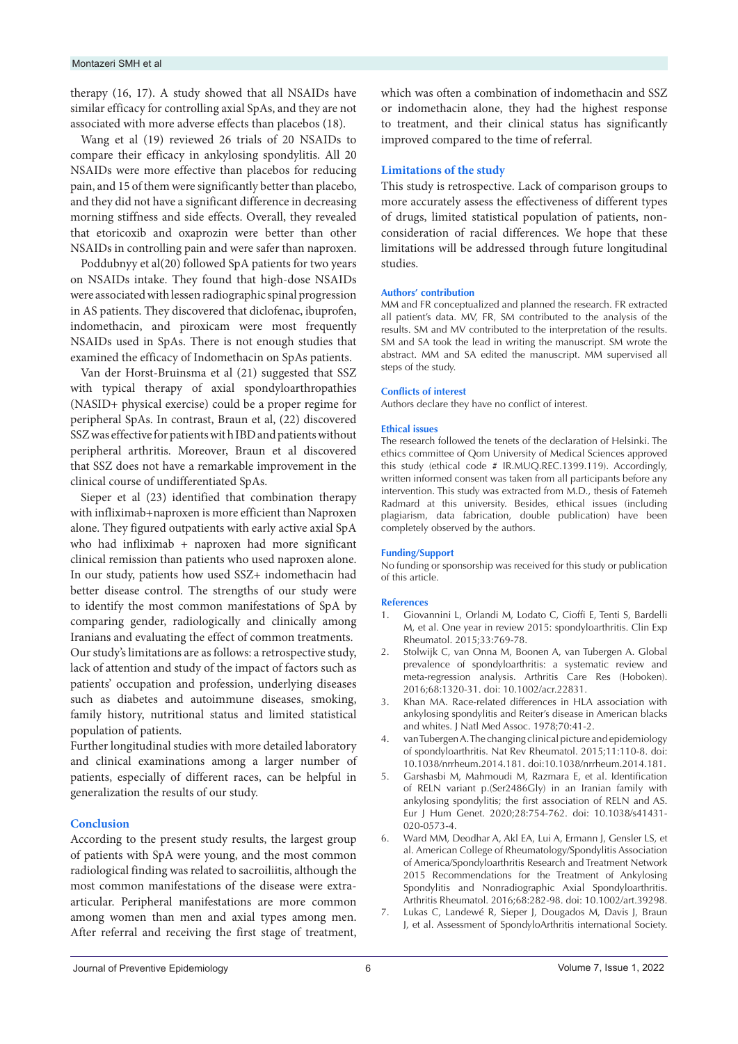#### Montazeri SMH et al

therapy (16, 17). A study showed that all NSAIDs have similar efficacy for controlling axial SpAs, and they are not associated with more adverse effects than placebos (18).

Wang et al (19) reviewed 26 trials of 20 NSAIDs to compare their efficacy in ankylosing spondylitis. All 20 NSAIDs were more effective than placebos for reducing pain, and 15 of them were significantly better than placebo, and they did not have a significant difference in decreasing morning stiffness and side effects. Overall, they revealed that etoricoxib and oxaprozin were better than other NSAIDs in controlling pain and were safer than naproxen.

Poddubnyy et al(20) followed SpA patients for two years on NSAIDs intake. They found that high-dose NSAIDs were associated with lessen radiographic spinal progression in AS patients. They discovered that diclofenac, ibuprofen, indomethacin, and piroxicam were most frequently NSAIDs used in SpAs. There is not enough studies that examined the efficacy of Indomethacin on SpAs patients.

Van der Horst-Bruinsma et al (21) suggested that SSZ with typical therapy of axial spondyloarthropathies (NASID+ physical exercise) could be a proper regime for peripheral SpAs. In contrast, Braun et al, (22) discovered SSZ was effective for patients wit h IBD and patients without peripheral arthritis. Moreover, Braun et al discovered that SSZ does not have a remarkable improvement in the clinical course of undifferentiated SpAs.

Sieper et al (23) identified that combination therapy with infliximab+naproxen is more efficient than Naproxen alone. They figured outpatients with early active axial SpA who had infliximab + naproxen had more significant clinical remission than patients who used naproxen alone. In our study, patients how used SSZ+ indomethacin had better disease control. The strengths of our study were to identify the most common manifestations of SpA by comparing gender, radiologically and clinically among Iranians and evaluating the effect of common treatments. Our study's limitations are as follows: a retrospective study, lack of attention and study of the impact of factors such as patients' occupation and profession, underlying diseases such as diabetes and autoimmune diseases, smoking, family history, nutritional status and limited statistical population of patients.

Further longitudinal studies with more detailed laboratory and clinical examinations among a larger number of patients, especially of different races, can be helpful in generalization the results of our study.

#### **Conclusion**

According to the present study results, the largest group of patients with SpA were young, and the most common radiological finding was related to sacroiliitis, although the most common manifestations of the disease were extraarticular. Peripheral manifestations are more common among women than men and axial types among men. After referral and receiving the first stage of treatment,

which was often a combination of indomethacin and SSZ or indomethacin alone, they had the highest response to treatment, and their clinical status has significantly improved compared to the time of referral.

#### **Limitations of the study**

This study is retrospective. Lack of comparison groups to more accurately assess the effectiveness of different types of drugs, limited statistical population of patients, nonconsideration of racial differences. We hope that these limitations will be addressed through future longitudinal studies.

#### **Authors' contribution**

MM and FR conceptualized and planned the research. FR extracted all patient's data. MV, FR, SM contributed to the analysis of the results. SM and MV contributed to the interpretation of the results. SM and SA took the lead in writing the manuscript. SM wrote the abstract. MM and SA edited the manuscript. MM supervised all steps of the study.

#### **Conflicts of interest**

Authors declare they have no conflict of interest.

#### **Ethical issues**

The research followed the tenets of the declaration of Helsinki. The ethics committee of Qom University of Medical Sciences approved this study (ethical code # IR.MUQ.REC.1399.119). Accordingly, written informed consent was taken from all participants before any intervention. This study was extracted from M.D., thesis of Fatemeh Radmard at this university. Besides, ethical issues (including plagiarism, data fabrication, double publication) have been completely observed by the authors.

#### **Funding/Support**

No funding or sponsorship was received for this study or publication of this article.

#### **References**

- 1. Giovannini L, Orlandi M, Lodato C, Cioffi E, Tenti S, Bardelli M, et al. One year in review 2015: spondyloarthritis. Clin Exp Rheumatol. 2015;33:769-78.
- 2. Stolwijk C, van Onna M, Boonen A, van Tubergen A. Global prevalence of spondyloarthritis: a systematic review and meta-regression analysis. Arthritis Care Res (Hoboken). 2016;68:1320-31. doi: 10.1002/acr.22831.
- 3. Khan MA. Race-related differences in HLA association with ankylosing spondylitis and Reiter's disease in American blacks and whites. J Natl Med Assoc. 1978;70:41-2.
- 4. van Tubergen A. The changing clinical picture and epidemiology of spondyloarthritis. Nat Rev Rheumatol. 2015;11:110-8. doi: 10.1038/nrrheum.2014.181. doi:10.1038/nrrheum.2014.181.
- 5. Garshasbi M, Mahmoudi M, Razmara E, et al. Identification of RELN variant p.(Ser2486Gly) in an Iranian family with ankylosing spondylitis; the first association of RELN and AS. Eur J Hum Genet. 2020;28:754-762. doi: 10.1038/s41431- 020-0573-4.
- 6. Ward MM, Deodhar A, Akl EA, Lui A, Ermann J, Gensler LS, et al. American College of Rheumatology/Spondylitis Association of America/Spondyloarthritis Research and Treatment Network 2015 Recommendations for the Treatment of Ankylosing Spondylitis and Nonradiographic Axial Spondyloarthritis. Arthritis Rheumatol. 2016;68:282-98. doi: 10.1002/art.39298.
- 7. Lukas C, Landewé R, Sieper J, Dougados M, Davis J, Braun J, et al. Assessment of SpondyloArthritis international Society.